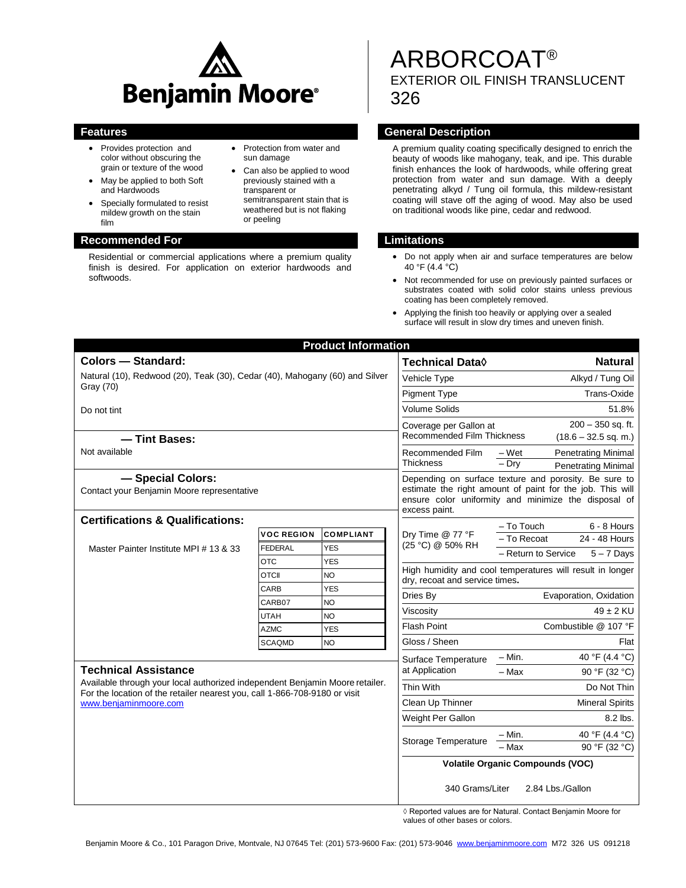

- Provides protection and color without obscuring the grain or texture of the wood
- May be applied to both Soft and Hardwoods
- Specially formulated to resist mildew growth on the stain film

#### **Recommended For Limitations**

Residential or commercial applications where a premium quality finish is desired. For application on exterior hardwoods and softwoods.

#### • Protection from water and sun damage

 Can also be applied to wood previously stained with a transparent or semitransparent stain that is weathered but is not flaking or peeling

# ARBORCOAT® EXTERIOR OIL FINISH TRANSLUCENT 326

### **Features General Description**

A premium quality coating specifically designed to enrich the beauty of woods like mahogany, teak, and ipe. This durable finish enhances the look of hardwoods, while offering great protection from water and sun damage. With a deeply penetrating alkyd / Tung oil formula, this mildew-resistant coating will stave off the aging of wood. May also be used on traditional woods like pine, cedar and redwood.

- Do not apply when air and surface temperatures are below 40 °F (4.4 °C)
- Not recommended for use on previously painted surfaces or substrates coated with solid color stains unless previous coating has been completely removed.
- Applying the finish too heavily or applying over a sealed surface will result in slow dry times and uneven finish.

| <b>Product Information</b>                                                                                                                                                                                         |                              |                         |                                                                                                                                                                                             |                                                           |
|--------------------------------------------------------------------------------------------------------------------------------------------------------------------------------------------------------------------|------------------------------|-------------------------|---------------------------------------------------------------------------------------------------------------------------------------------------------------------------------------------|-----------------------------------------------------------|
| <b>Colors - Standard:</b>                                                                                                                                                                                          |                              |                         | Technical Data $\Diamond$                                                                                                                                                                   | <b>Natural</b>                                            |
| Natural (10), Redwood (20), Teak (30), Cedar (40), Mahogany (60) and Silver<br>Gray (70)                                                                                                                           |                              |                         | Vehicle Type                                                                                                                                                                                | Alkyd / Tung Oil                                          |
|                                                                                                                                                                                                                    |                              |                         | <b>Pigment Type</b>                                                                                                                                                                         | Trans-Oxide                                               |
| Do not tint                                                                                                                                                                                                        |                              |                         | <b>Volume Solids</b>                                                                                                                                                                        | 51.8%                                                     |
|                                                                                                                                                                                                                    |                              |                         | $200 - 350$ sq. ft.<br>Coverage per Gallon at                                                                                                                                               |                                                           |
| - Tint Bases:                                                                                                                                                                                                      |                              |                         | <b>Recommended Film Thickness</b>                                                                                                                                                           | $(18.6 - 32.5$ sq. m.)                                    |
| Not available                                                                                                                                                                                                      |                              |                         | <b>Recommended Film</b><br><b>Thickness</b>                                                                                                                                                 | <b>Penetrating Minimal</b><br>– Wet                       |
|                                                                                                                                                                                                                    |                              |                         |                                                                                                                                                                                             | $-$ Drv<br><b>Penetrating Minimal</b>                     |
| - Special Colors:<br>Contact your Benjamin Moore representative                                                                                                                                                    |                              |                         | Depending on surface texture and porosity. Be sure to<br>estimate the right amount of paint for the job. This will<br>ensure color uniformity and minimize the disposal of<br>excess paint. |                                                           |
| <b>Certifications &amp; Qualifications:</b>                                                                                                                                                                        |                              |                         |                                                                                                                                                                                             | - To Touch<br>$6 - 8$ Hours                               |
| Master Painter Institute MPI # 13 & 33                                                                                                                                                                             | <b>VOC REGION</b>            | <b>COMPLIANT</b>        | Dry Time @ 77 °F<br>(25 °C) @ 50% RH                                                                                                                                                        | - To Recoat<br>24 - 48 Hours                              |
|                                                                                                                                                                                                                    | <b>FEDERAL</b><br><b>OTC</b> | <b>YES</b>              |                                                                                                                                                                                             | - Return to Service<br>$5 - 7$ Days                       |
|                                                                                                                                                                                                                    | <b>OTCII</b>                 | <b>YES</b><br><b>NO</b> |                                                                                                                                                                                             | High humidity and cool temperatures will result in longer |
|                                                                                                                                                                                                                    | CARB                         | <b>YES</b>              | dry, recoat and service times.                                                                                                                                                              |                                                           |
|                                                                                                                                                                                                                    | CARB07                       | <b>NO</b>               | Dries By                                                                                                                                                                                    | Evaporation, Oxidation                                    |
|                                                                                                                                                                                                                    | <b>UTAH</b>                  | <b>NO</b>               | Viscosity                                                                                                                                                                                   | $49 \pm 2$ KU                                             |
|                                                                                                                                                                                                                    | <b>AZMC</b>                  | <b>YES</b>              | <b>Flash Point</b>                                                                                                                                                                          | Combustible @ 107 °F                                      |
|                                                                                                                                                                                                                    | <b>SCAQMD</b>                | <b>NO</b>               | Gloss / Sheen                                                                                                                                                                               | Flat                                                      |
| <b>Technical Assistance</b><br>Available through your local authorized independent Benjamin Moore retailer.<br>For the location of the retailer nearest you, call 1-866-708-9180 or visit<br>www.benjaminmoore.com |                              |                         | Surface Temperature<br>at Application                                                                                                                                                       | 40 °F (4.4 °C)<br>$- Min.$                                |
|                                                                                                                                                                                                                    |                              |                         |                                                                                                                                                                                             | $-Max$<br>90 °F (32 °C)                                   |
|                                                                                                                                                                                                                    |                              |                         | Thin With                                                                                                                                                                                   | Do Not Thin                                               |
|                                                                                                                                                                                                                    |                              |                         | Clean Up Thinner                                                                                                                                                                            | <b>Mineral Spirits</b>                                    |
|                                                                                                                                                                                                                    |                              |                         | Weight Per Gallon                                                                                                                                                                           | 8.2 lbs.                                                  |
|                                                                                                                                                                                                                    |                              |                         | Storage Temperature                                                                                                                                                                         | 40 °F (4.4 °C)<br>- Min.                                  |
|                                                                                                                                                                                                                    |                              |                         |                                                                                                                                                                                             | - Max<br>90 °F (32 °C)                                    |
|                                                                                                                                                                                                                    |                              |                         | <b>Volatile Organic Compounds (VOC)</b>                                                                                                                                                     |                                                           |
|                                                                                                                                                                                                                    |                              |                         | 340 Grams/Liter<br>2.84 Lbs./Gallon                                                                                                                                                         |                                                           |

◊ Reported values are for Natural. Contact Benjamin Moore for values of other bases or colors.